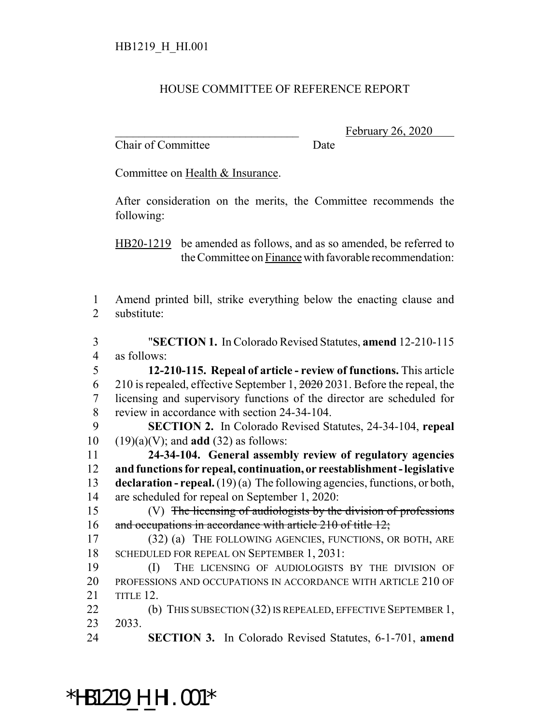#### HOUSE COMMITTEE OF REFERENCE REPORT

Chair of Committee Date

February 26, 2020

Committee on Health & Insurance.

After consideration on the merits, the Committee recommends the following:

HB20-1219 be amended as follows, and as so amended, be referred to the Committee on Finance with favorable recommendation:

 Amend printed bill, strike everything below the enacting clause and substitute:

 "**SECTION 1.** In Colorado Revised Statutes, **amend** 12-210-115 as follows:

 **12-210-115. Repeal of article - review of functions.** This article 6 210 is repealed, effective September 1,  $\frac{2020}{2031}$ . Before the repeal, the licensing and supervisory functions of the director are scheduled for review in accordance with section 24-34-104.

 **SECTION 2.** In Colorado Revised Statutes, 24-34-104, **repeal** (19)(a)(V); and **add** (32) as follows:

 **24-34-104. General assembly review of regulatory agencies and functions for repeal, continuation, or reestablishment - legislative declaration - repeal.** (19) (a) The following agencies, functions, or both, are scheduled for repeal on September 1, 2020:

 (V) The licensing of audiologists by the division of professions 16 and occupations in accordance with article 210 of title 12;

 (32) (a) THE FOLLOWING AGENCIES, FUNCTIONS, OR BOTH, ARE SCHEDULED FOR REPEAL ON SEPTEMBER 1, 2031:

 (I) THE LICENSING OF AUDIOLOGISTS BY THE DIVISION OF PROFESSIONS AND OCCUPATIONS IN ACCORDANCE WITH ARTICLE 210 OF TITLE 12.

22 (b) THIS SUBSECTION (32) IS REPEALED, EFFECTIVE SEPTEMBER 1, 2033.

**SECTION 3.** In Colorado Revised Statutes, 6-1-701, **amend**

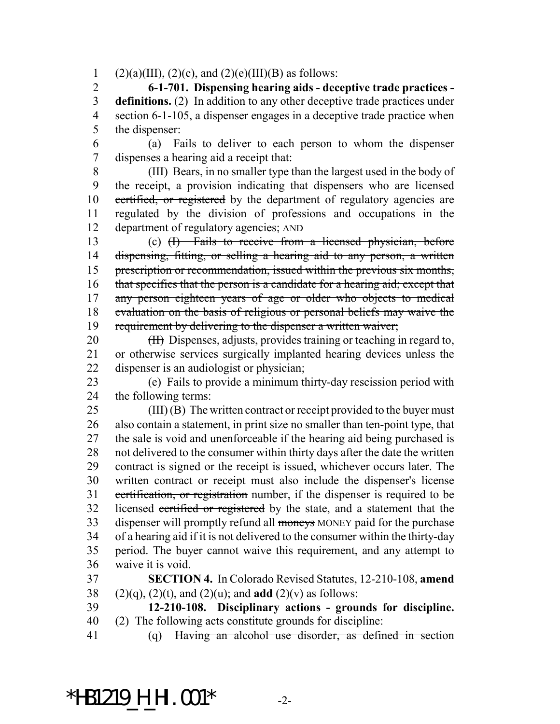1 (2)(a)(III), (2)(c), and (2)(e)(III)(B) as follows:

 **6-1-701. Dispensing hearing aids - deceptive trade practices - definitions.** (2) In addition to any other deceptive trade practices under section 6-1-105, a dispenser engages in a deceptive trade practice when the dispenser:

 (a) Fails to deliver to each person to whom the dispenser dispenses a hearing aid a receipt that:

 (III) Bears, in no smaller type than the largest used in the body of the receipt, a provision indicating that dispensers who are licensed certified, or registered by the department of regulatory agencies are regulated by the division of professions and occupations in the department of regulatory agencies; AND

 (c) (I) Fails to receive from a licensed physician, before 14 dispensing, fitting, or selling a hearing aid to any person, a written prescription or recommendation, issued within the previous six months, 16 that specifies that the person is a candidate for a hearing aid; except that 17 any person eighteen years of age or older who objects to medical evaluation on the basis of religious or personal beliefs may waive the requirement by delivering to the dispenser a written waiver;

20 (II) Dispenses, adjusts, provides training or teaching in regard to, or otherwise services surgically implanted hearing devices unless the dispenser is an audiologist or physician;

 (e) Fails to provide a minimum thirty-day rescission period with the following terms:

 (III) (B) The written contract or receipt provided to the buyer must also contain a statement, in print size no smaller than ten-point type, that the sale is void and unenforceable if the hearing aid being purchased is not delivered to the consumer within thirty days after the date the written contract is signed or the receipt is issued, whichever occurs later. The written contract or receipt must also include the dispenser's license certification, or registration number, if the dispenser is required to be 32 licensed certified or registered by the state, and a statement that the 33 dispenser will promptly refund all moneys MONEY paid for the purchase of a hearing aid if it is not delivered to the consumer within the thirty-day period. The buyer cannot waive this requirement, and any attempt to waive it is void.

 **SECTION 4.** In Colorado Revised Statutes, 12-210-108, **amend** (2)(q), (2)(t), and (2)(u); and **add** (2)(v) as follows:

 **12-210-108. Disciplinary actions - grounds for discipline.** (2) The following acts constitute grounds for discipline:

(q) Having an alcohol use disorder, as defined in section

## \*HB1219\_H\_HI.001\* -2-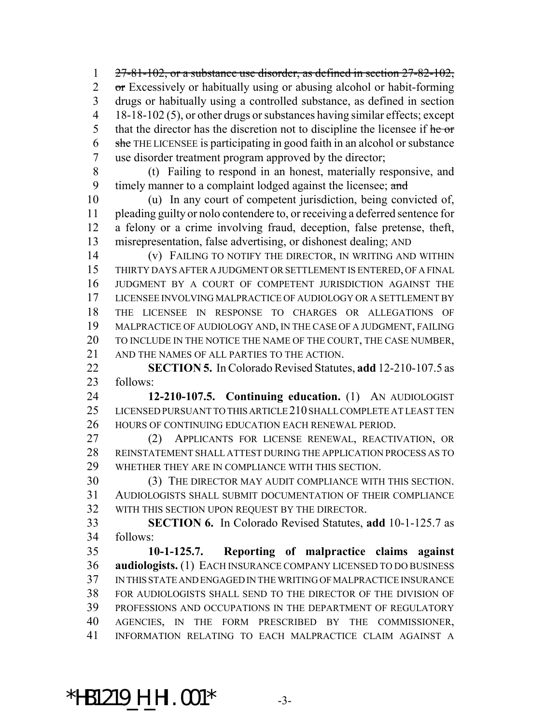$27-81-102$ , or a substance use disorder, as defined in section  $27-82-102$ , 2 or Excessively or habitually using or abusing alcohol or habit-forming drugs or habitually using a controlled substance, as defined in section 18-18-102 (5), or other drugs or substances having similar effects; except 5 that the director has the discretion not to discipline the licensee if  $\frac{he}{he}$  she THE LICENSEE is participating in good faith in an alcohol or substance use disorder treatment program approved by the director;

 (t) Failing to respond in an honest, materially responsive, and 9 timely manner to a complaint lodged against the licensee; and

 (u) In any court of competent jurisdiction, being convicted of, pleading guilty or nolo contendere to, or receiving a deferred sentence for a felony or a crime involving fraud, deception, false pretense, theft, misrepresentation, false advertising, or dishonest dealing; AND

 (v) FAILING TO NOTIFY THE DIRECTOR, IN WRITING AND WITHIN THIRTY DAYS AFTER A JUDGMENT OR SETTLEMENT IS ENTERED, OF A FINAL JUDGMENT BY A COURT OF COMPETENT JURISDICTION AGAINST THE LICENSEE INVOLVING MALPRACTICE OF AUDIOLOGY OR A SETTLEMENT BY THE LICENSEE IN RESPONSE TO CHARGES OR ALLEGATIONS OF MALPRACTICE OF AUDIOLOGY AND, IN THE CASE OF A JUDGMENT, FAILING TO INCLUDE IN THE NOTICE THE NAME OF THE COURT, THE CASE NUMBER, AND THE NAMES OF ALL PARTIES TO THE ACTION.

 **SECTION 5.** In Colorado Revised Statutes, **add** 12-210-107.5 as follows:

 **12-210-107.5. Continuing education.** (1) AN AUDIOLOGIST 25 LICENSED PURSUANT TO THIS ARTICLE 210 SHALL COMPLETE AT LEAST TEN HOURS OF CONTINUING EDUCATION EACH RENEWAL PERIOD.

 (2) APPLICANTS FOR LICENSE RENEWAL, REACTIVATION, OR REINSTATEMENT SHALL ATTEST DURING THE APPLICATION PROCESS AS TO WHETHER THEY ARE IN COMPLIANCE WITH THIS SECTION.

 (3) THE DIRECTOR MAY AUDIT COMPLIANCE WITH THIS SECTION. AUDIOLOGISTS SHALL SUBMIT DOCUMENTATION OF THEIR COMPLIANCE WITH THIS SECTION UPON REQUEST BY THE DIRECTOR.

 **SECTION 6.** In Colorado Revised Statutes, **add** 10-1-125.7 as follows:

 **10-1-125.7. Reporting of malpractice claims against audiologists.** (1) EACH INSURANCE COMPANY LICENSED TO DO BUSINESS IN THIS STATE AND ENGAGED IN THE WRITING OF MALPRACTICE INSURANCE FOR AUDIOLOGISTS SHALL SEND TO THE DIRECTOR OF THE DIVISION OF PROFESSIONS AND OCCUPATIONS IN THE DEPARTMENT OF REGULATORY AGENCIES, IN THE FORM PRESCRIBED BY THE COMMISSIONER, INFORMATION RELATING TO EACH MALPRACTICE CLAIM AGAINST A

# \*HB1219\_H\_HI.001\* -3-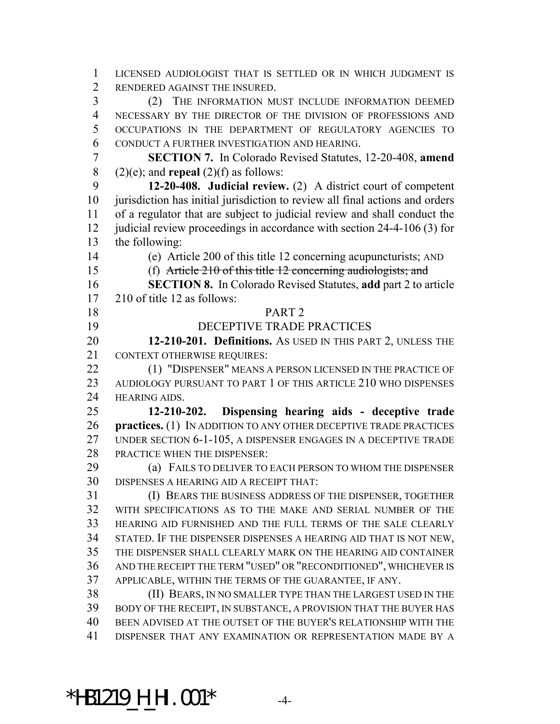LICENSED AUDIOLOGIST THAT IS SETTLED OR IN WHICH JUDGMENT IS RENDERED AGAINST THE INSURED. (2) THE INFORMATION MUST INCLUDE INFORMATION DEEMED NECESSARY BY THE DIRECTOR OF THE DIVISION OF PROFESSIONS AND OCCUPATIONS IN THE DEPARTMENT OF REGULATORY AGENCIES TO CONDUCT A FURTHER INVESTIGATION AND HEARING. **SECTION 7.** In Colorado Revised Statutes, 12-20-408, **amend** 8 (2)(e); and **repeal** (2)(f) as follows: **12-20-408. Judicial review.** (2) A district court of competent jurisdiction has initial jurisdiction to review all final actions and orders of a regulator that are subject to judicial review and shall conduct the 12 judicial review proceedings in accordance with section 24-4-106 (3) for the following: (e) Article 200 of this title 12 concerning acupuncturists; AND (f) Article 210 of this title 12 concerning audiologists; and **SECTION 8.** In Colorado Revised Statutes, **add** part 2 to article 210 of title 12 as follows: PART 2 DECEPTIVE TRADE PRACTICES **12-210-201. Definitions.** AS USED IN THIS PART 2, UNLESS THE CONTEXT OTHERWISE REQUIRES: 22 (1) "DISPENSER" MEANS A PERSON LICENSED IN THE PRACTICE OF 23 AUDIOLOGY PURSUANT TO PART 1 OF THIS ARTICLE 210 WHO DISPENSES HEARING AIDS. **12-210-202. Dispensing hearing aids - deceptive trade practices.** (1) IN ADDITION TO ANY OTHER DECEPTIVE TRADE PRACTICES UNDER SECTION 6-1-105, A DISPENSER ENGAGES IN A DECEPTIVE TRADE PRACTICE WHEN THE DISPENSER: (a) FAILS TO DELIVER TO EACH PERSON TO WHOM THE DISPENSER DISPENSES A HEARING AID A RECEIPT THAT: (I) BEARS THE BUSINESS ADDRESS OF THE DISPENSER, TOGETHER WITH SPECIFICATIONS AS TO THE MAKE AND SERIAL NUMBER OF THE HEARING AID FURNISHED AND THE FULL TERMS OF THE SALE CLEARLY STATED. IF THE DISPENSER DISPENSES A HEARING AID THAT IS NOT NEW, THE DISPENSER SHALL CLEARLY MARK ON THE HEARING AID CONTAINER AND THE RECEIPT THE TERM "USED" OR "RECONDITIONED", WHICHEVER IS APPLICABLE, WITHIN THE TERMS OF THE GUARANTEE, IF ANY. (II) BEARS, IN NO SMALLER TYPE THAN THE LARGEST USED IN THE BODY OF THE RECEIPT, IN SUBSTANCE, A PROVISION THAT THE BUYER HAS BEEN ADVISED AT THE OUTSET OF THE BUYER'S RELATIONSHIP WITH THE DISPENSER THAT ANY EXAMINATION OR REPRESENTATION MADE BY A

### \*HB1219\_H\_HI.001\* -4-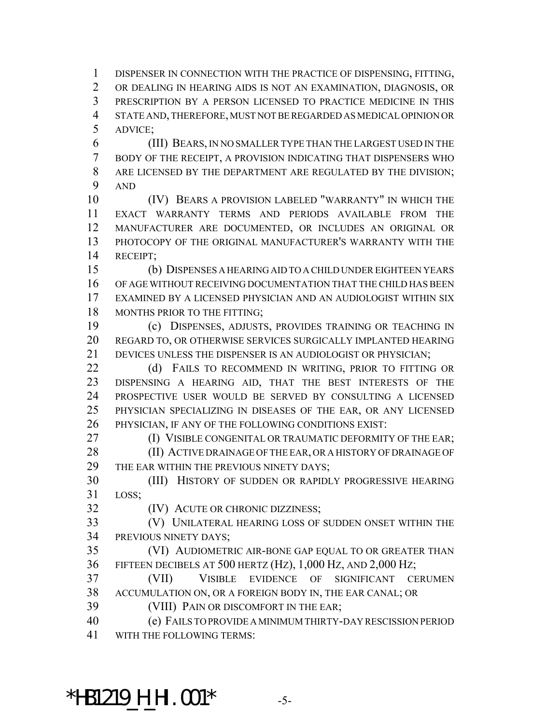DISPENSER IN CONNECTION WITH THE PRACTICE OF DISPENSING, FITTING, OR DEALING IN HEARING AIDS IS NOT AN EXAMINATION, DIAGNOSIS, OR PRESCRIPTION BY A PERSON LICENSED TO PRACTICE MEDICINE IN THIS STATE AND, THEREFORE, MUST NOT BE REGARDED AS MEDICAL OPINION OR ADVICE;

 (III) BEARS, IN NO SMALLER TYPE THAN THE LARGEST USED IN THE BODY OF THE RECEIPT, A PROVISION INDICATING THAT DISPENSERS WHO ARE LICENSED BY THE DEPARTMENT ARE REGULATED BY THE DIVISION; AND

 (IV) BEARS A PROVISION LABELED "WARRANTY" IN WHICH THE EXACT WARRANTY TERMS AND PERIODS AVAILABLE FROM THE MANUFACTURER ARE DOCUMENTED, OR INCLUDES AN ORIGINAL OR PHOTOCOPY OF THE ORIGINAL MANUFACTURER'S WARRANTY WITH THE RECEIPT;

 (b) DISPENSES A HEARING AID TO A CHILD UNDER EIGHTEEN YEARS OF AGE WITHOUT RECEIVING DOCUMENTATION THAT THE CHILD HAS BEEN EXAMINED BY A LICENSED PHYSICIAN AND AN AUDIOLOGIST WITHIN SIX 18 MONTHS PRIOR TO THE FITTING;

 (c) DISPENSES, ADJUSTS, PROVIDES TRAINING OR TEACHING IN REGARD TO, OR OTHERWISE SERVICES SURGICALLY IMPLANTED HEARING DEVICES UNLESS THE DISPENSER IS AN AUDIOLOGIST OR PHYSICIAN;

22 (d) FAILS TO RECOMMEND IN WRITING, PRIOR TO FITTING OR DISPENSING A HEARING AID, THAT THE BEST INTERESTS OF THE PROSPECTIVE USER WOULD BE SERVED BY CONSULTING A LICENSED PHYSICIAN SPECIALIZING IN DISEASES OF THE EAR, OR ANY LICENSED PHYSICIAN, IF ANY OF THE FOLLOWING CONDITIONS EXIST:

**(I) VISIBLE CONGENITAL OR TRAUMATIC DEFORMITY OF THE EAR;** 

28 (II) ACTIVE DRAINAGE OF THE EAR, OR A HISTORY OF DRAINAGE OF 29 THE EAR WITHIN THE PREVIOUS NINETY DAYS;

 (III) HISTORY OF SUDDEN OR RAPIDLY PROGRESSIVE HEARING LOSS;

(IV) ACUTE OR CHRONIC DIZZINESS;

 (V) UNILATERAL HEARING LOSS OF SUDDEN ONSET WITHIN THE PREVIOUS NINETY DAYS;

 (VI) AUDIOMETRIC AIR-BONE GAP EQUAL TO OR GREATER THAN FIFTEEN DECIBELS AT 500 HERTZ (HZ), 1,000 HZ, AND 2,000 HZ;

 (VII) VISIBLE EVIDENCE OF SIGNIFICANT CERUMEN ACCUMULATION ON, OR A FOREIGN BODY IN, THE EAR CANAL; OR

(VIII) PAIN OR DISCOMFORT IN THE EAR;

 (e) FAILS TO PROVIDE A MINIMUM THIRTY-DAY RESCISSION PERIOD WITH THE FOLLOWING TERMS:

\*HB1219\_H\_HI.001\* -5-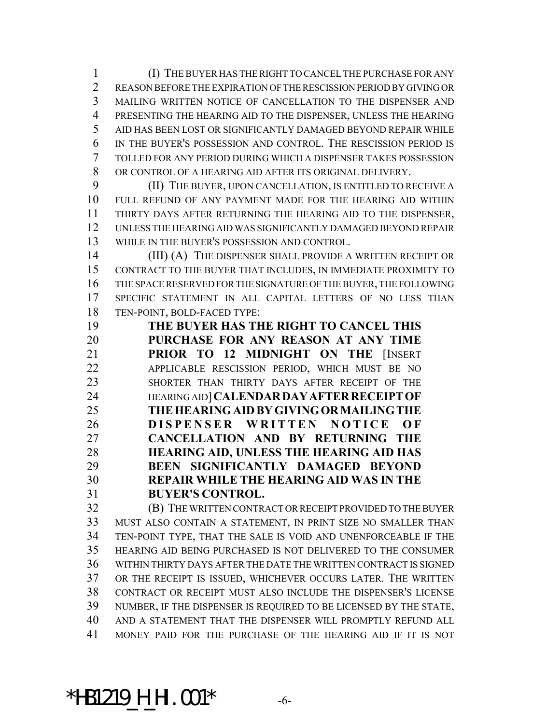(I) THE BUYER HAS THE RIGHT TO CANCEL THE PURCHASE FOR ANY REASON BEFORE THE EXPIRATION OF THE RESCISSION PERIOD BY GIVING OR MAILING WRITTEN NOTICE OF CANCELLATION TO THE DISPENSER AND PRESENTING THE HEARING AID TO THE DISPENSER, UNLESS THE HEARING AID HAS BEEN LOST OR SIGNIFICANTLY DAMAGED BEYOND REPAIR WHILE IN THE BUYER'S POSSESSION AND CONTROL. THE RESCISSION PERIOD IS TOLLED FOR ANY PERIOD DURING WHICH A DISPENSER TAKES POSSESSION OR CONTROL OF A HEARING AID AFTER ITS ORIGINAL DELIVERY.

 (II) THE BUYER, UPON CANCELLATION, IS ENTITLED TO RECEIVE A FULL REFUND OF ANY PAYMENT MADE FOR THE HEARING AID WITHIN THIRTY DAYS AFTER RETURNING THE HEARING AID TO THE DISPENSER, UNLESS THE HEARING AID WAS SIGNIFICANTLY DAMAGED BEYOND REPAIR WHILE IN THE BUYER'S POSSESSION AND CONTROL.

14 (III) (A) THE DISPENSER SHALL PROVIDE A WRITTEN RECEIPT OR CONTRACT TO THE BUYER THAT INCLUDES, IN IMMEDIATE PROXIMITY TO THE SPACE RESERVED FOR THE SIGNATURE OF THE BUYER, THE FOLLOWING SPECIFIC STATEMENT IN ALL CAPITAL LETTERS OF NO LESS THAN TEN-POINT, BOLD-FACED TYPE:

 **THE BUYER HAS THE RIGHT TO CANCEL THIS PURCHASE FOR ANY REASON AT ANY TIME PRIOR TO 12 MIDNIGHT ON THE** [INSERT APPLICABLE RESCISSION PERIOD, WHICH MUST BE NO SHORTER THAN THIRTY DAYS AFTER RECEIPT OF THE HEARING AID]**CALENDARDAYAFTERRECEIPTOF THEHEARINGAIDBYGIVINGORMAILINGTHE DISPENSER WRITTEN NOTICE O F CANCELLATION AND BY RETURNING THE HEARING AID, UNLESS THE HEARING AID HAS BEEN SIGNIFICANTLY DAMAGED BEYOND REPAIR WHILE THE HEARING AID WAS IN THE BUYER'S CONTROL.**

 (B) THE WRITTEN CONTRACT OR RECEIPT PROVIDED TO THE BUYER MUST ALSO CONTAIN A STATEMENT, IN PRINT SIZE NO SMALLER THAN TEN-POINT TYPE, THAT THE SALE IS VOID AND UNENFORCEABLE IF THE HEARING AID BEING PURCHASED IS NOT DELIVERED TO THE CONSUMER WITHIN THIRTY DAYS AFTER THE DATE THE WRITTEN CONTRACT IS SIGNED OR THE RECEIPT IS ISSUED, WHICHEVER OCCURS LATER. THE WRITTEN CONTRACT OR RECEIPT MUST ALSO INCLUDE THE DISPENSER'S LICENSE NUMBER, IF THE DISPENSER IS REQUIRED TO BE LICENSED BY THE STATE, AND A STATEMENT THAT THE DISPENSER WILL PROMPTLY REFUND ALL MONEY PAID FOR THE PURCHASE OF THE HEARING AID IF IT IS NOT

## $*$ **HB1219\_H\_HI.001\***  $-6$ -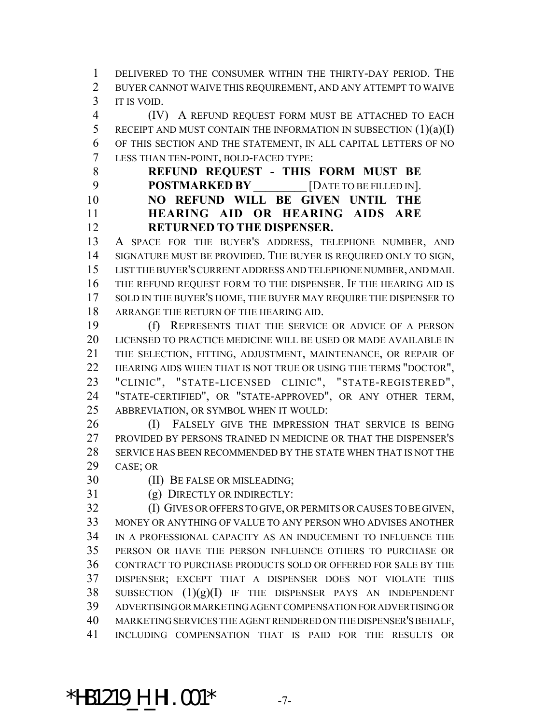DELIVERED TO THE CONSUMER WITHIN THE THIRTY-DAY PERIOD. THE BUYER CANNOT WAIVE THIS REQUIREMENT, AND ANY ATTEMPT TO WAIVE IT IS VOID.

 (IV) A REFUND REQUEST FORM MUST BE ATTACHED TO EACH 5 RECEIPT AND MUST CONTAIN THE INFORMATION IN SUBSECTION  $(1)(a)(I)$  OF THIS SECTION AND THE STATEMENT, IN ALL CAPITAL LETTERS OF NO LESS THAN TEN-POINT, BOLD-FACED TYPE:

 **REFUND REQUEST - THIS FORM MUST BE POSTMARKED BY** [DATE TO BE FILLED IN]. **NO REFUND WILL BE GIVEN UNTIL THE HEARING AID OR HEARING AIDS ARE RETURNED TO THE DISPENSER.**

 A SPACE FOR THE BUYER'S ADDRESS, TELEPHONE NUMBER, AND SIGNATURE MUST BE PROVIDED. THE BUYER IS REQUIRED ONLY TO SIGN, LIST THE BUYER'S CURRENT ADDRESS AND TELEPHONE NUMBER, AND MAIL THE REFUND REQUEST FORM TO THE DISPENSER. IF THE HEARING AID IS 17 SOLD IN THE BUYER'S HOME, THE BUYER MAY REQUIRE THE DISPENSER TO ARRANGE THE RETURN OF THE HEARING AID.

 (f) REPRESENTS THAT THE SERVICE OR ADVICE OF A PERSON LICENSED TO PRACTICE MEDICINE WILL BE USED OR MADE AVAILABLE IN THE SELECTION, FITTING, ADJUSTMENT, MAINTENANCE, OR REPAIR OF 22 HEARING AIDS WHEN THAT IS NOT TRUE OR USING THE TERMS "DOCTOR", "CLINIC", "STATE-LICENSED CLINIC", "STATE-REGISTERED", "STATE-CERTIFIED", OR "STATE-APPROVED", OR ANY OTHER TERM, ABBREVIATION, OR SYMBOL WHEN IT WOULD:

26 (I) FALSELY GIVE THE IMPRESSION THAT SERVICE IS BEING PROVIDED BY PERSONS TRAINED IN MEDICINE OR THAT THE DISPENSER'S SERVICE HAS BEEN RECOMMENDED BY THE STATE WHEN THAT IS NOT THE CASE; OR

(II) BE FALSE OR MISLEADING;

(g) DIRECTLY OR INDIRECTLY:

 (I) GIVES OR OFFERS TO GIVE, OR PERMITS OR CAUSES TO BE GIVEN, MONEY OR ANYTHING OF VALUE TO ANY PERSON WHO ADVISES ANOTHER IN A PROFESSIONAL CAPACITY AS AN INDUCEMENT TO INFLUENCE THE PERSON OR HAVE THE PERSON INFLUENCE OTHERS TO PURCHASE OR CONTRACT TO PURCHASE PRODUCTS SOLD OR OFFERED FOR SALE BY THE DISPENSER; EXCEPT THAT A DISPENSER DOES NOT VIOLATE THIS 38 SUBSECTION  $(1)(g)(I)$  IF THE DISPENSER PAYS AN INDEPENDENT ADVERTISING OR MARKETING AGENT COMPENSATION FOR ADVERTISING OR MARKETING SERVICES THE AGENT RENDERED ON THE DISPENSER'S BEHALF, INCLUDING COMPENSATION THAT IS PAID FOR THE RESULTS OR

# \*HB1219\_H\_HI.001\* -7-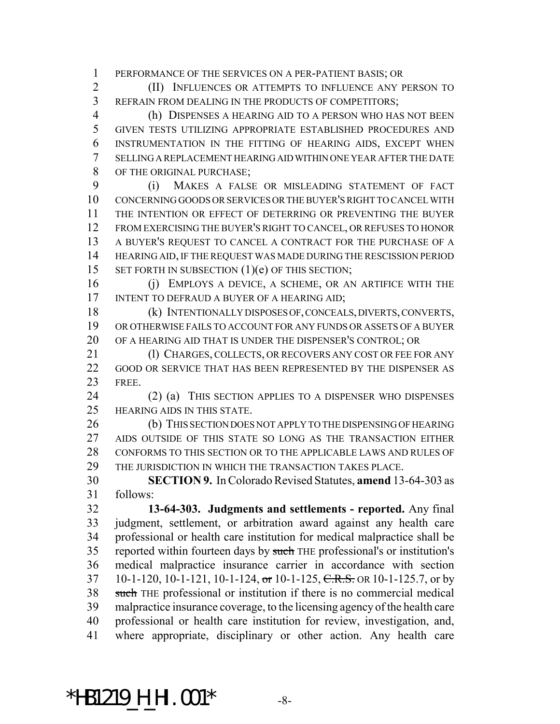PERFORMANCE OF THE SERVICES ON A PER-PATIENT BASIS; OR

 (II) INFLUENCES OR ATTEMPTS TO INFLUENCE ANY PERSON TO REFRAIN FROM DEALING IN THE PRODUCTS OF COMPETITORS;

 (h) DISPENSES A HEARING AID TO A PERSON WHO HAS NOT BEEN GIVEN TESTS UTILIZING APPROPRIATE ESTABLISHED PROCEDURES AND INSTRUMENTATION IN THE FITTING OF HEARING AIDS, EXCEPT WHEN SELLING A REPLACEMENT HEARING AID WITHIN ONE YEAR AFTER THE DATE OF THE ORIGINAL PURCHASE;

 (i) MAKES A FALSE OR MISLEADING STATEMENT OF FACT CONCERNING GOODS OR SERVICES OR THE BUYER'S RIGHT TO CANCEL WITH THE INTENTION OR EFFECT OF DETERRING OR PREVENTING THE BUYER FROM EXERCISING THE BUYER'S RIGHT TO CANCEL, OR REFUSES TO HONOR A BUYER'S REQUEST TO CANCEL A CONTRACT FOR THE PURCHASE OF A HEARING AID, IF THE REQUEST WAS MADE DURING THE RESCISSION PERIOD 15 SET FORTH IN SUBSECTION (1)(e) OF THIS SECTION;

 (j) EMPLOYS A DEVICE, A SCHEME, OR AN ARTIFICE WITH THE 17 INTENT TO DEFRAUD A BUYER OF A HEARING AID;

 (k) INTENTIONALLY DISPOSES OF, CONCEALS, DIVERTS, CONVERTS, OR OTHERWISE FAILS TO ACCOUNT FOR ANY FUNDS OR ASSETS OF A BUYER OF A HEARING AID THAT IS UNDER THE DISPENSER'S CONTROL; OR

21 (I) CHARGES, COLLECTS, OR RECOVERS ANY COST OR FEE FOR ANY 22 GOOD OR SERVICE THAT HAS BEEN REPRESENTED BY THE DISPENSER AS FREE.

 (2) (a) THIS SECTION APPLIES TO A DISPENSER WHO DISPENSES HEARING AIDS IN THIS STATE.

 (b) THIS SECTION DOES NOT APPLY TO THE DISPENSING OF HEARING 27 AIDS OUTSIDE OF THIS STATE SO LONG AS THE TRANSACTION EITHER CONFORMS TO THIS SECTION OR TO THE APPLICABLE LAWS AND RULES OF THE JURISDICTION IN WHICH THE TRANSACTION TAKES PLACE.

 **SECTION 9.** In Colorado Revised Statutes, **amend** 13-64-303 as follows:

 **13-64-303. Judgments and settlements - reported.** Any final judgment, settlement, or arbitration award against any health care professional or health care institution for medical malpractice shall be reported within fourteen days by such THE professional's or institution's medical malpractice insurance carrier in accordance with section 37 10-1-120, 10-1-121, 10-1-124, or 10-1-125, C.R.S. OR 10-1-125.7, or by 38 such THE professional or institution if there is no commercial medical malpractice insurance coverage, to the licensing agency of the health care professional or health care institution for review, investigation, and, where appropriate, disciplinary or other action. Any health care

# \*HB1219\_H\_HI.001\* -8-